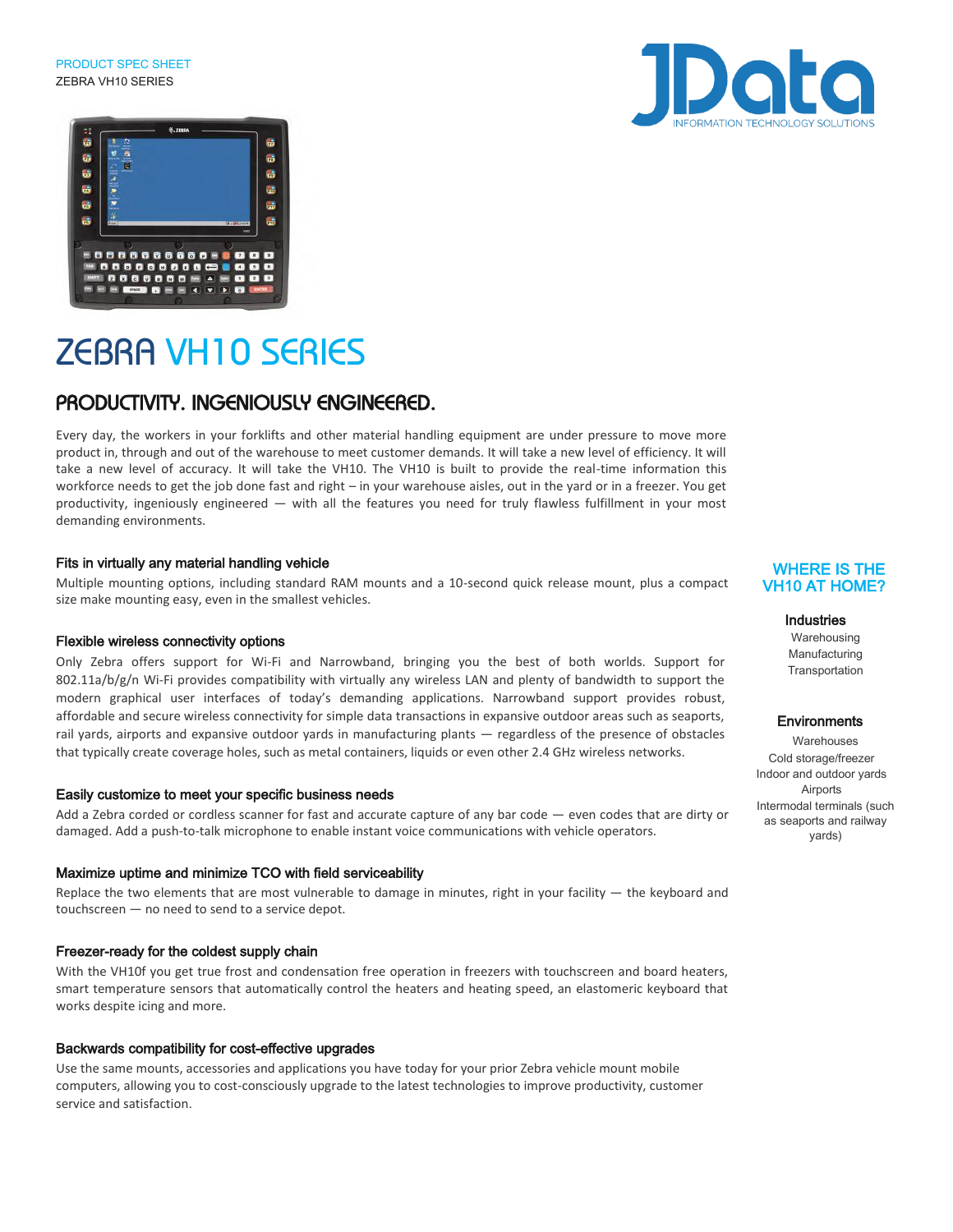PRODUCT SPEC SHEET ZEBRA VH10 SERIES





# ZEBRA VH10 SERIES

### PRODUCTIVITY. INGENIOUSLY ENGINEERED.

Every day, the workers in your forklifts and other material handling equipment are under pressure to move more product in, through and out of the warehouse to meet customer demands. It will take a new level of efficiency. It will take a new level of accuracy. It will take the VH10. The VH10 is built to provide the real-time information this workforce needs to get the job done fast and right – in your warehouse aisles, out in the yard or in a freezer. You get productivity, ingeniously engineered — with all the features you need for truly flawless fulfillment in your most demanding environments.

#### Fits in virtually any material handling vehicle

Multiple mounting options, including standard RAM mounts and a 10-second quick release mount, plus a compact size make mounting easy, even in the smallest vehicles.

#### Flexible wireless connectivity options

Only Zebra offers support for Wi-Fi and Narrowband, bringing you the best of both worlds. Support for  $802.11a/b/g/n$  Wi-Fi provides compatibility with virtually any wireless LAN and plenty of bandwidth to support the modern graphical user interfaces of today's demanding applications. Narrowband support provides robust, affordable and secure wireless connectivity for simple data transactions in expansive outdoor areas such as seaports, rail yards, airports and expansive outdoor yards in manufacturing plants — regardless of the presence of obstacles that typically create coverage holes, such as metal containers, liquids or even other 2.4 GHz wireless networks.

#### Easily customize to meet your specific business needs

Add a Zebra corded or cordless scanner for fast and accurate capture of any bar code — even codes that are dirty or damaged. Add a push-to-talk microphone to enable instant voice communications with vehicle operators.

#### Maximize uptime and minimize TCO with field serviceability

Replace the two elements that are most vulnerable to damage in minutes, right in your facility  $-$  the keyboard and touchscreen — no need to send to a service depot.

#### Freezer-ready for the coldest supply chain

With the VH10f you get true frost and condensation free operation in freezers with touchscreen and board heaters, smart temperature sensors that automatically control the heaters and heating speed, an elastomeric keyboard that works despite icing and more.

#### Backwards compatibility for cost-effective upgrades

Use the same mounts, accessories and applications you have today for your prior Zebra vehicle mount mobile computers, allowing you to cost-consciously upgrade to the latest technologies to improve productivity, customer service and satisfaction.

#### WHERE IS THE VH10 AT HOME?

#### Industries

Warehousing Manufacturing **Transportation** 

#### **Environments**

**Warehouses** Cold storage/freezer Indoor and outdoor yards Airports Intermodal terminals (such as seaports and railway yards)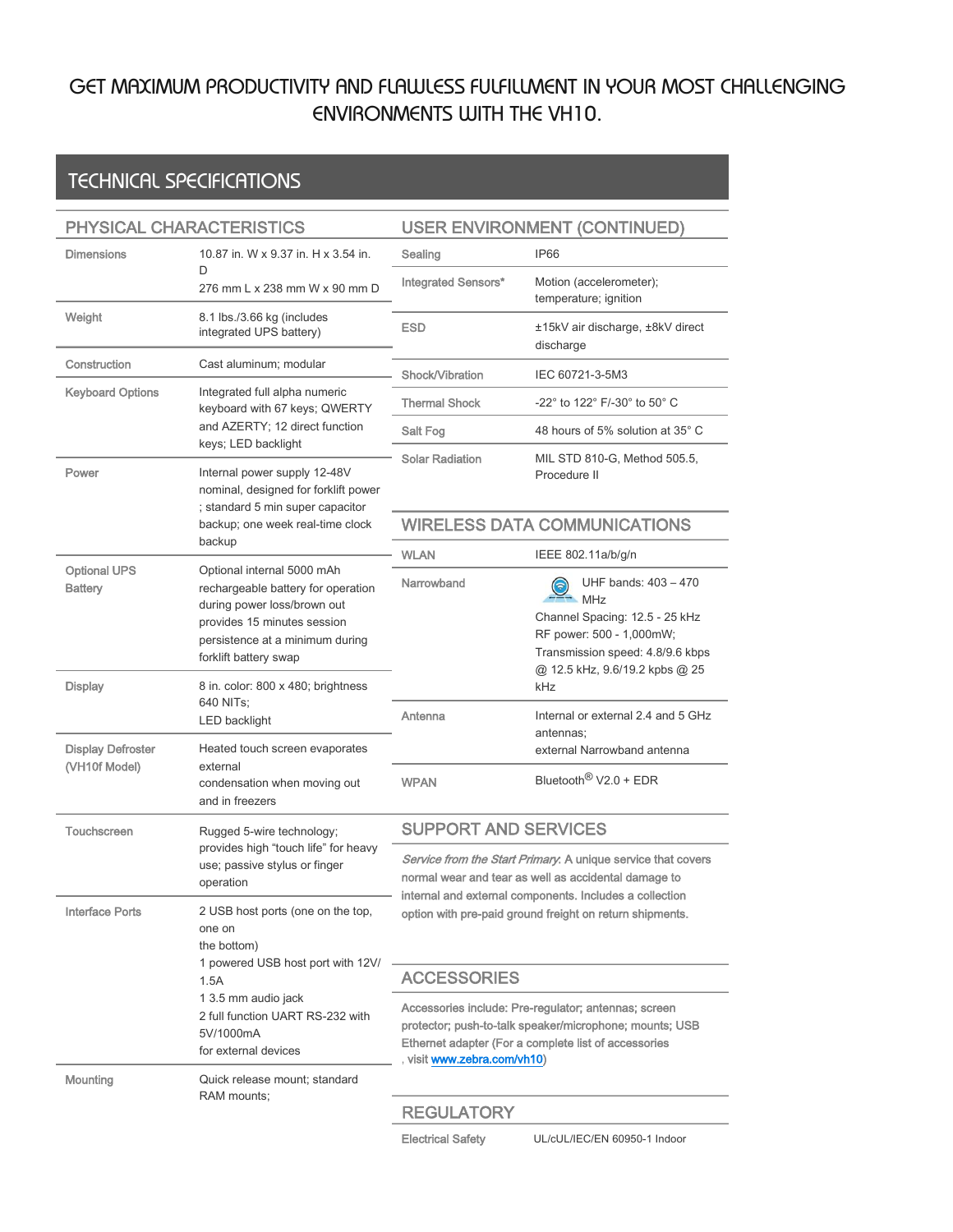# GET MAXIMUM PRODUCTIVITY AND FLAWLESS FULFILLMENT IN YOUR MOST CHALLENGING ENVIRONMENTS WITH THE VH10.

## TECHNICAL SPECIFICATIONS

| PHYSICAL CHARACTERISTICS              |                                                                                                                                                                                                         | <b>USER ENVIRONMENT (CONTINUED)</b>                                                                                                                                                                                                         |                                                                                                                                                                                     |
|---------------------------------------|---------------------------------------------------------------------------------------------------------------------------------------------------------------------------------------------------------|---------------------------------------------------------------------------------------------------------------------------------------------------------------------------------------------------------------------------------------------|-------------------------------------------------------------------------------------------------------------------------------------------------------------------------------------|
| <b>Dimensions</b>                     | 10.87 in. W x 9.37 in. H x 3.54 in.                                                                                                                                                                     | Sealing                                                                                                                                                                                                                                     | <b>IP66</b>                                                                                                                                                                         |
|                                       | D<br>276 mm L x 238 mm W x 90 mm D                                                                                                                                                                      | Integrated Sensors*                                                                                                                                                                                                                         | Motion (accelerometer);<br>temperature; ignition                                                                                                                                    |
| Weight                                | 8.1 lbs./3.66 kg (includes<br>integrated UPS battery)                                                                                                                                                   | <b>ESD</b>                                                                                                                                                                                                                                  | ±15kV air discharge, ±8kV direct<br>discharge                                                                                                                                       |
| Construction                          | Cast aluminum; modular                                                                                                                                                                                  | Shock/Vibration                                                                                                                                                                                                                             | IEC 60721-3-5M3                                                                                                                                                                     |
| <b>Keyboard Options</b>               | Integrated full alpha numeric<br>keyboard with 67 keys; QWERTY<br>and AZERTY; 12 direct function<br>keys; LED backlight                                                                                 | <b>Thermal Shock</b>                                                                                                                                                                                                                        | -22° to 122° F/-30° to 50° C                                                                                                                                                        |
|                                       |                                                                                                                                                                                                         | Salt Fog                                                                                                                                                                                                                                    | 48 hours of 5% solution at 35° C                                                                                                                                                    |
| Power                                 | Internal power supply 12-48V<br>nominal, designed for forklift power<br>; standard 5 min super capacitor<br>backup; one week real-time clock                                                            | <b>Solar Radiation</b>                                                                                                                                                                                                                      | MIL STD 810-G, Method 505.5,<br>Procedure II                                                                                                                                        |
|                                       |                                                                                                                                                                                                         | <b>WIRELESS DATA COMMUNICATIONS</b>                                                                                                                                                                                                         |                                                                                                                                                                                     |
|                                       | backup                                                                                                                                                                                                  | <b>WLAN</b>                                                                                                                                                                                                                                 | IEEE 802.11a/b/g/n                                                                                                                                                                  |
| <b>Optional UPS</b><br><b>Battery</b> | Optional internal 5000 mAh<br>rechargeable battery for operation<br>during power loss/brown out<br>provides 15 minutes session<br>persistence at a minimum during<br>forklift battery swap              | Narrowband                                                                                                                                                                                                                                  | UHF bands: 403 - 470<br>ခေ<br><b>MHz</b><br>Channel Spacing: 12.5 - 25 kHz<br>RF power: 500 - 1,000mW;<br>Transmission speed: 4.8/9.6 kbps<br>@ 12.5 kHz, 9.6/19.2 kpbs @ 25<br>kHz |
| <b>Display</b>                        | 8 in. color: 800 x 480; brightness<br>640 NITs;<br>LED backlight<br>Heated touch screen evaporates<br>external<br>condensation when moving out<br>and in freezers                                       |                                                                                                                                                                                                                                             |                                                                                                                                                                                     |
| <b>Display Defroster</b>              |                                                                                                                                                                                                         | Antenna                                                                                                                                                                                                                                     | Internal or external 2.4 and 5 GHz<br>antennas;<br>external Narrowband antenna                                                                                                      |
| (VH10f Model)                         |                                                                                                                                                                                                         | <b>WPAN</b>                                                                                                                                                                                                                                 | Bluetooth <sup>®</sup> V2.0 + EDR                                                                                                                                                   |
| Touchscreen                           | Rugged 5-wire technology;<br>provides high "touch life" for heavy<br>use; passive stylus or finger<br>operation                                                                                         | <b>SUPPORT AND SERVICES</b>                                                                                                                                                                                                                 |                                                                                                                                                                                     |
|                                       |                                                                                                                                                                                                         | Service from the Start Primary. A unique service that covers<br>normal wear and tear as well as accidental damage to<br>internal and external components. Includes a collection<br>option with pre-paid ground freight on return shipments. |                                                                                                                                                                                     |
| <b>Interface Ports</b>                | 2 USB host ports (one on the top,<br>one on<br>the bottom)<br>1 powered USB host port with 12V/<br>1.5A<br>1 3.5 mm audio jack<br>2 full function UART RS-232 with<br>5V/1000mA<br>for external devices |                                                                                                                                                                                                                                             |                                                                                                                                                                                     |
|                                       |                                                                                                                                                                                                         | <b>ACCESSORIES</b>                                                                                                                                                                                                                          |                                                                                                                                                                                     |
|                                       |                                                                                                                                                                                                         | Accessories include: Pre-regulator; antennas; screen<br>protector; push-to-talk speaker/microphone; mounts; USB<br>Ethernet adapter (For a complete list of accessories<br>visit www.zebra.com/vh10)                                        |                                                                                                                                                                                     |
| Mounting                              | Quick release mount; standard                                                                                                                                                                           |                                                                                                                                                                                                                                             |                                                                                                                                                                                     |
|                                       | RAM mounts:                                                                                                                                                                                             | <b>REGULATORY</b>                                                                                                                                                                                                                           |                                                                                                                                                                                     |
|                                       |                                                                                                                                                                                                         | <b>Electrical Safety</b>                                                                                                                                                                                                                    | UL/cUL/IEC/EN 60950-1 Indoor                                                                                                                                                        |